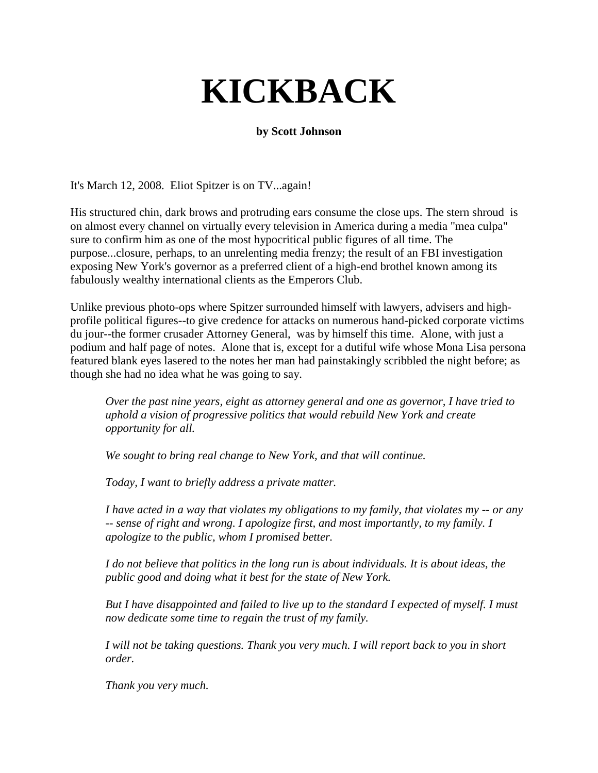## **KICKBACK**

## **by Scott Johnson**

It's March 12, 2008. Eliot Spitzer is on TV...again!

His structured chin, dark brows and protruding ears consume the close ups. The stern shroud is on almost every channel on virtually every television in America during a media "mea culpa" sure to confirm him as one of the most hypocritical public figures of all time. The purpose...closure, perhaps, to an unrelenting media frenzy; the result of an FBI investigation exposing New York's governor as a preferred client of a high-end brothel known among its fabulously wealthy international clients as the Emperors Club.

Unlike previous photo-ops where Spitzer surrounded himself with lawyers, advisers and highprofile political figures--to give credence for attacks on numerous hand-picked corporate victims du jour--the former crusader Attorney General, was by himself this time. Alone, with just a podium and half page of notes. Alone that is, except for a dutiful wife whose Mona Lisa persona featured blank eyes lasered to the notes her man had painstakingly scribbled the night before; as though she had no idea what he was going to say.

*Over the past nine years, eight as attorney general and one as governor, I have tried to uphold a vision of progressive politics that would rebuild New York and create opportunity for all.* 

*We sought to bring real change to New York, and that will continue.* 

*Today, I want to briefly address a private matter.* 

*I have acted in a way that violates my obligations to my family, that violates my -- or any -- sense of right and wrong. I apologize first, and most importantly, to my family. I apologize to the public, whom I promised better.* 

*I do not believe that politics in the long run is about individuals. It is about ideas, the public good and doing what it best for the state of New York.* 

*But I have disappointed and failed to live up to the standard I expected of myself. I must now dedicate some time to regain the trust of my family.* 

*I will not be taking questions. Thank you very much. I will report back to you in short order.* 

*Thank you very much.*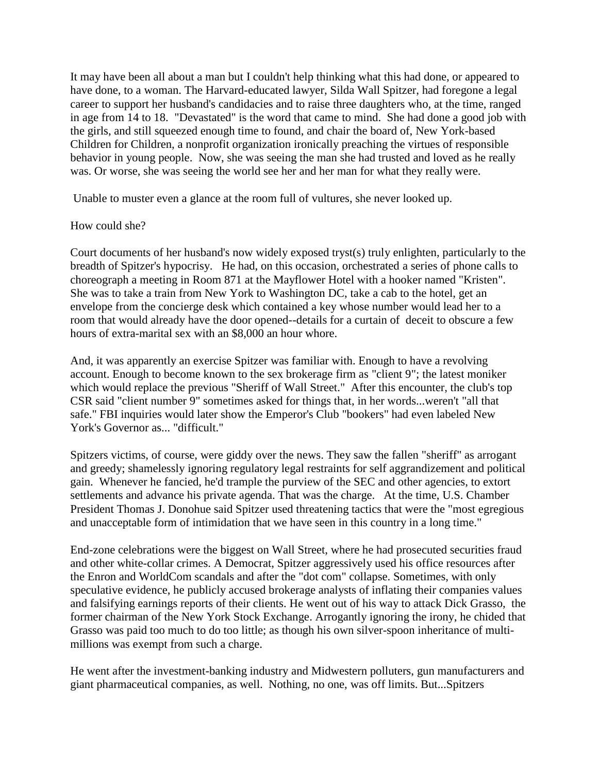It may have been all about a man but I couldn't help thinking what this had done, or appeared to have done, to a woman. The Harvard-educated lawyer, Silda Wall Spitzer, had foregone a legal career to support her husband's candidacies and to raise three daughters who, at the time, ranged in age from 14 to 18. "Devastated" is the word that came to mind. She had done a good job with the girls, and still squeezed enough time to found, and chair the board of, New York-based Children for Children, a nonprofit organization ironically preaching the virtues of responsible behavior in young people. Now, she was seeing the man she had trusted and loved as he really was. Or worse, she was seeing the world see her and her man for what they really were.

Unable to muster even a glance at the room full of vultures, she never looked up.

## How could she?

Court documents of her husband's now widely exposed tryst(s) truly enlighten, particularly to the breadth of Spitzer's hypocrisy. He had, on this occasion, orchestrated a series of phone calls to choreograph a meeting in Room 871 at the Mayflower Hotel with a hooker named "Kristen". She was to take a train from New York to Washington DC, take a cab to the hotel, get an envelope from the concierge desk which contained a key whose number would lead her to a room that would already have the door opened--details for a curtain of deceit to obscure a few hours of extra-marital sex with an \$8,000 an hour whore.

And, it was apparently an exercise Spitzer was familiar with. Enough to have a revolving account. Enough to become known to the sex brokerage firm as "client 9"; the latest moniker which would replace the previous "Sheriff of Wall Street." After this encounter, the club's top CSR said "client number 9" sometimes asked for things that, in her words...weren't "all that safe." FBI inquiries would later show the Emperor's Club "bookers" had even labeled New York's Governor as... "difficult."

Spitzers victims, of course, were giddy over the news. They saw the fallen "sheriff" as arrogant and greedy; shamelessly ignoring regulatory legal restraints for self aggrandizement and political gain. Whenever he fancied, he'd trample the purview of the SEC and other agencies, to extort settlements and advance his private agenda. That was the charge. At the time, U.S. Chamber President Thomas J. Donohue said Spitzer used threatening tactics that were the "most egregious and unacceptable form of intimidation that we have seen in this country in a long time."

End-zone celebrations were the biggest on Wall Street, where he had prosecuted securities fraud and other white-collar crimes. A Democrat, Spitzer aggressively used his office resources after the Enron and WorldCom scandals and after the "dot com" collapse. Sometimes, with only speculative evidence, he publicly accused brokerage analysts of inflating their companies values and falsifying earnings reports of their clients. He went out of his way to attack Dick Grasso, the former chairman of the New York Stock Exchange. Arrogantly ignoring the irony, he chided that Grasso was paid too much to do too little; as though his own silver-spoon inheritance of multimillions was exempt from such a charge.

He went after the investment-banking industry and Midwestern polluters, gun manufacturers and giant pharmaceutical companies, as well. Nothing, no one, was off limits. But...Spitzers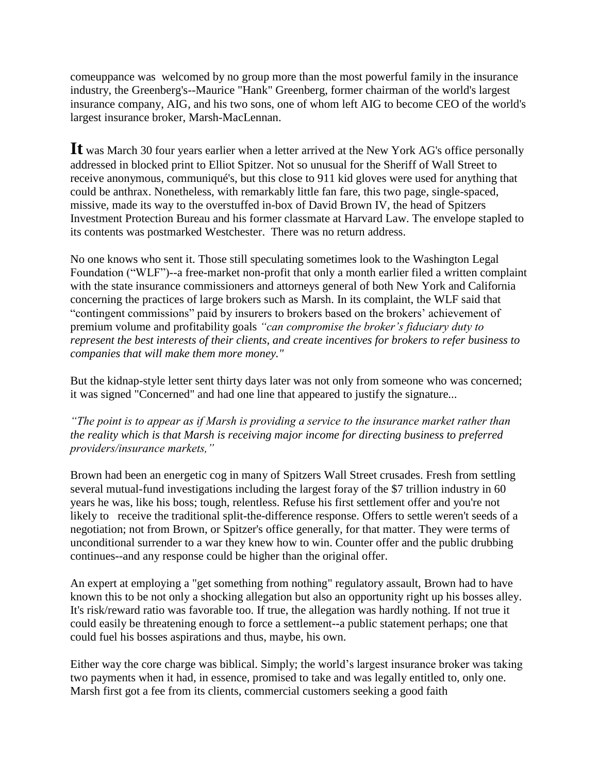comeuppance was welcomed by no group more than the most powerful family in the insurance industry, the Greenberg's--Maurice "Hank" Greenberg, former chairman of the world's largest insurance company, AIG, and his two sons, one of whom left AIG to become CEO of the world's largest insurance broker, Marsh-MacLennan.

**It** was March 30 four years earlier when a letter arrived at the New York AG's office personally addressed in blocked print to Elliot Spitzer. Not so unusual for the Sheriff of Wall Street to receive anonymous, communiqué's, but this close to 911 kid gloves were used for anything that could be anthrax. Nonetheless, with remarkably little fan fare, this two page, single-spaced, missive, made its way to the overstuffed in-box of David Brown IV, the head of Spitzers Investment Protection Bureau and his former classmate at Harvard Law. The envelope stapled to its contents was postmarked Westchester. There was no return address.

No one knows who sent it. Those still speculating sometimes look to the Washington Legal Foundation ("WLF")--a free-market non-profit that only a month earlier filed a written complaint with the state insurance commissioners and attorneys general of both New York and California concerning the practices of large brokers such as Marsh. In its complaint, the WLF said that "contingent commissions" paid by insurers to brokers based on the brokers" achievement of premium volume and profitability goals *"can compromise the broker's fiduciary duty to represent the best interests of their clients, and create incentives for brokers to refer business to companies that will make them more money."* 

But the kidnap-style letter sent thirty days later was not only from someone who was concerned; it was signed "Concerned" and had one line that appeared to justify the signature...

*"The point is to appear as if Marsh is providing a service to the insurance market rather than the reality which is that Marsh is receiving major income for directing business to preferred providers/insurance markets,"*

Brown had been an energetic cog in many of Spitzers Wall Street crusades. Fresh from settling several mutual-fund investigations including the largest foray of the \$7 trillion industry in 60 years he was, like his boss; tough, relentless. Refuse his first settlement offer and you're not likely to receive the traditional split-the-difference response. Offers to settle weren't seeds of a negotiation; not from Brown, or Spitzer's office generally, for that matter. They were terms of unconditional surrender to a war they knew how to win. Counter offer and the public drubbing continues--and any response could be higher than the original offer.

An expert at employing a "get something from nothing" regulatory assault, Brown had to have known this to be not only a shocking allegation but also an opportunity right up his bosses alley. It's risk/reward ratio was favorable too. If true, the allegation was hardly nothing. If not true it could easily be threatening enough to force a settlement--a public statement perhaps; one that could fuel his bosses aspirations and thus, maybe, his own.

Either way the core charge was biblical. Simply; the world"s largest insurance broker was taking two payments when it had, in essence, promised to take and was legally entitled to, only one. Marsh first got a fee from its clients, commercial customers seeking a good faith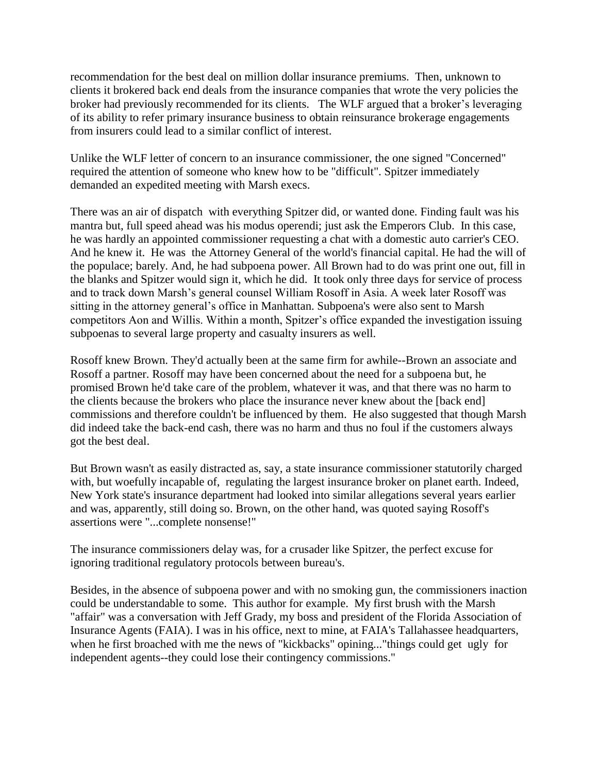recommendation for the best deal on million dollar insurance premiums. Then, unknown to clients it brokered back end deals from the insurance companies that wrote the very policies the broker had previously recommended for its clients. The WLF argued that a broker's leveraging of its ability to refer primary insurance business to obtain reinsurance brokerage engagements from insurers could lead to a similar conflict of interest.

Unlike the WLF letter of concern to an insurance commissioner, the one signed "Concerned" required the attention of someone who knew how to be "difficult". Spitzer immediately demanded an expedited meeting with Marsh execs.

There was an air of dispatch with everything Spitzer did, or wanted done. Finding fault was his mantra but, full speed ahead was his modus operendi; just ask the Emperors Club. In this case, he was hardly an appointed commissioner requesting a chat with a domestic auto carrier's CEO. And he knew it. He was the Attorney General of the world's financial capital. He had the will of the populace; barely. And, he had subpoena power. All Brown had to do was print one out, fill in the blanks and Spitzer would sign it, which he did. It took only three days for service of process and to track down Marsh"s general counsel William Rosoff in Asia. A week later Rosoff was sitting in the attorney general's office in Manhattan. Subpoena's were also sent to Marsh competitors Aon and Willis. Within a month, Spitzer"s office expanded the investigation issuing subpoenas to several large property and casualty insurers as well.

Rosoff knew Brown. They'd actually been at the same firm for awhile--Brown an associate and Rosoff a partner. Rosoff may have been concerned about the need for a subpoena but, he promised Brown he'd take care of the problem, whatever it was, and that there was no harm to the clients because the brokers who place the insurance never knew about the [back end] commissions and therefore couldn't be influenced by them. He also suggested that though Marsh did indeed take the back-end cash, there was no harm and thus no foul if the customers always got the best deal.

But Brown wasn't as easily distracted as, say, a state insurance commissioner statutorily charged with, but woefully incapable of, regulating the largest insurance broker on planet earth. Indeed, New York state's insurance department had looked into similar allegations several years earlier and was, apparently, still doing so. Brown, on the other hand, was quoted saying Rosoff's assertions were "...complete nonsense!"

The insurance commissioners delay was, for a crusader like Spitzer, the perfect excuse for ignoring traditional regulatory protocols between bureau's.

Besides, in the absence of subpoena power and with no smoking gun, the commissioners inaction could be understandable to some. This author for example. My first brush with the Marsh "affair" was a conversation with Jeff Grady, my boss and president of the Florida Association of Insurance Agents (FAIA). I was in his office, next to mine, at FAIA's Tallahassee headquarters, when he first broached with me the news of "kickbacks" opining..."things could get ugly for independent agents--they could lose their contingency commissions."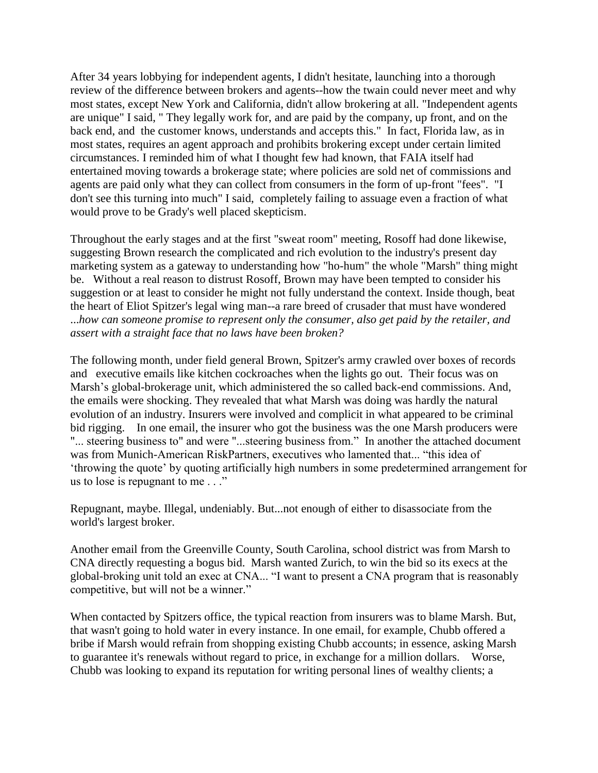After 34 years lobbying for independent agents, I didn't hesitate, launching into a thorough review of the difference between brokers and agents--how the twain could never meet and why most states, except New York and California, didn't allow brokering at all. "Independent agents are unique" I said, " They legally work for, and are paid by the company, up front, and on the back end, and the customer knows, understands and accepts this." In fact, Florida law, as in most states, requires an agent approach and prohibits brokering except under certain limited circumstances. I reminded him of what I thought few had known, that FAIA itself had entertained moving towards a brokerage state; where policies are sold net of commissions and agents are paid only what they can collect from consumers in the form of up-front "fees". "I don't see this turning into much" I said, completely failing to assuage even a fraction of what would prove to be Grady's well placed skepticism.

Throughout the early stages and at the first "sweat room" meeting, Rosoff had done likewise, suggesting Brown research the complicated and rich evolution to the industry's present day marketing system as a gateway to understanding how "ho-hum" the whole "Marsh" thing might be. Without a real reason to distrust Rosoff, Brown may have been tempted to consider his suggestion or at least to consider he might not fully understand the context. Inside though, beat the heart of Eliot Spitzer's legal wing man--a rare breed of crusader that must have wondered ...*how can someone promise to represent only the consumer, also get paid by the retailer, and assert with a straight face that no laws have been broken?* 

The following month, under field general Brown, Spitzer's army crawled over boxes of records and executive emails like kitchen cockroaches when the lights go out. Their focus was on Marsh"s global-brokerage unit, which administered the so called back-end commissions. And, the emails were shocking. They revealed that what Marsh was doing was hardly the natural evolution of an industry. Insurers were involved and complicit in what appeared to be criminal bid rigging. In one email, the insurer who got the business was the one Marsh producers were "... steering business to" and were "...steering business from." In another the attached document was from Munich-American RiskPartners, executives who lamented that... "this idea of "throwing the quote" by quoting artificially high numbers in some predetermined arrangement for us to lose is repugnant to me . . ."

Repugnant, maybe. Illegal, undeniably. But...not enough of either to disassociate from the world's largest broker.

Another email from the Greenville County, South Carolina, school district was from Marsh to CNA directly requesting a bogus bid. Marsh wanted Zurich, to win the bid so its execs at the global-broking unit told an exec at CNA... "I want to present a CNA program that is reasonably competitive, but will not be a winner."

When contacted by Spitzers office, the typical reaction from insurers was to blame Marsh. But, that wasn't going to hold water in every instance. In one email, for example, Chubb offered a bribe if Marsh would refrain from shopping existing Chubb accounts; in essence, asking Marsh to guarantee it's renewals without regard to price, in exchange for a million dollars. Worse, Chubb was looking to expand its reputation for writing personal lines of wealthy clients; a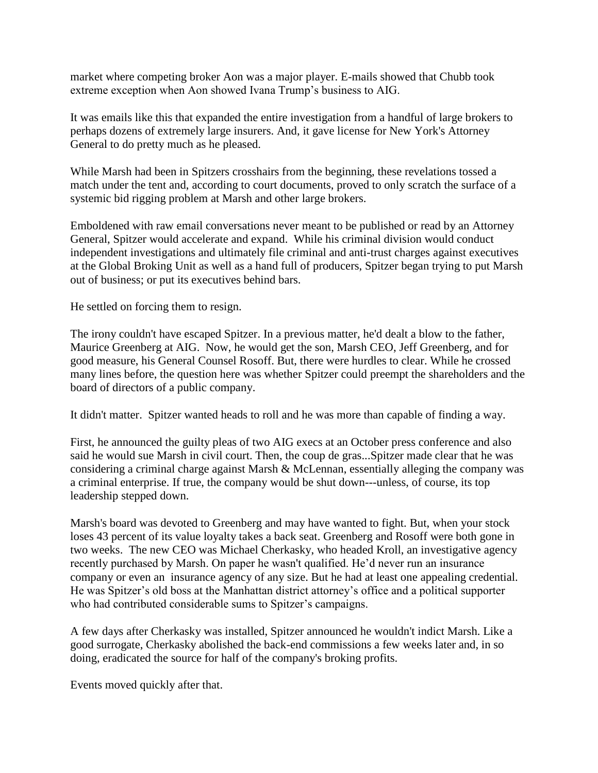market where competing broker Aon was a major player. E-mails showed that Chubb took extreme exception when Aon showed Ivana Trump"s business to AIG.

It was emails like this that expanded the entire investigation from a handful of large brokers to perhaps dozens of extremely large insurers. And, it gave license for New York's Attorney General to do pretty much as he pleased.

While Marsh had been in Spitzers crosshairs from the beginning, these revelations tossed a match under the tent and, according to court documents, proved to only scratch the surface of a systemic bid rigging problem at Marsh and other large brokers.

Emboldened with raw email conversations never meant to be published or read by an Attorney General, Spitzer would accelerate and expand. While his criminal division would conduct independent investigations and ultimately file criminal and anti-trust charges against executives at the Global Broking Unit as well as a hand full of producers, Spitzer began trying to put Marsh out of business; or put its executives behind bars.

He settled on forcing them to resign.

The irony couldn't have escaped Spitzer. In a previous matter, he'd dealt a blow to the father, Maurice Greenberg at AIG. Now, he would get the son, Marsh CEO, Jeff Greenberg, and for good measure, his General Counsel Rosoff. But, there were hurdles to clear. While he crossed many lines before, the question here was whether Spitzer could preempt the shareholders and the board of directors of a public company.

It didn't matter. Spitzer wanted heads to roll and he was more than capable of finding a way.

First, he announced the guilty pleas of two AIG execs at an October press conference and also said he would sue Marsh in civil court. Then, the coup de gras...Spitzer made clear that he was considering a criminal charge against Marsh & McLennan, essentially alleging the company was a criminal enterprise. If true, the company would be shut down---unless, of course, its top leadership stepped down.

Marsh's board was devoted to Greenberg and may have wanted to fight. But, when your stock loses 43 percent of its value loyalty takes a back seat. Greenberg and Rosoff were both gone in two weeks. The new CEO was Michael Cherkasky, who headed Kroll, an investigative agency recently purchased by Marsh. On paper he wasn't qualified. He"d never run an insurance company or even an insurance agency of any size. But he had at least one appealing credential. He was Spitzer"s old boss at the Manhattan district attorney"s office and a political supporter who had contributed considerable sums to Spitzer's campaigns.

A few days after Cherkasky was installed, Spitzer announced he wouldn't indict Marsh. Like a good surrogate, Cherkasky abolished the back-end commissions a few weeks later and, in so doing, eradicated the source for half of the company's broking profits.

Events moved quickly after that.